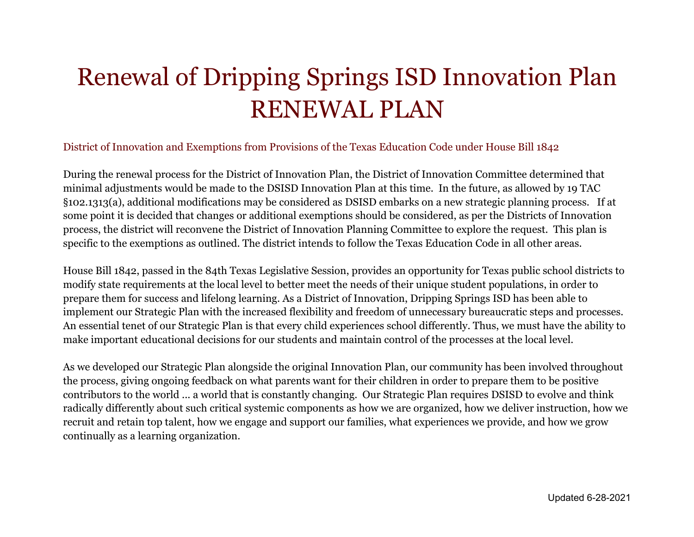# Renewal of Dripping Springs ISD Innovation Plan RENEWAL PLAN

## District of Innovation and Exemptions from Provisions of the Texas Education Code under House Bill 1842

During the renewal process for the District of Innovation Plan, the District of Innovation Committee determined that minimal adjustments would be made to the DSISD Innovation Plan at this time. In the future, as allowed by 19 TAC §102.1313(a), additional modifications may be considered as DSISD embarks on a new strategic planning process. If at some point it is decided that changes or additional exemptions should be considered, as per the Districts of Innovation process, the district will reconvene the District of Innovation Planning Committee to explore the request. This plan is specific to the exemptions as outlined. The district intends to follow the Texas Education Code in all other areas.

House Bill 1842, passed in the 84th Texas Legislative Session, provides an opportunity for Texas public school districts to modify state requirements at the local level to better meet the needs of their unique student populations, in order to prepare them for success and lifelong learning. As a District of Innovation, Dripping Springs ISD has been able to implement our Strategic Plan with the increased flexibility and freedom of unnecessary bureaucratic steps and processes. An essential tenet of our Strategic Plan is that every child experiences school differently. Thus, we must have the ability to make important educational decisions for our students and maintain control of the processes at the local level.

As we developed our Strategic Plan alongside the original Innovation Plan, our community has been involved throughout the process, giving ongoing feedback on what parents want for their children in order to prepare them to be positive contributors to the world ... a world that is constantly changing. Our Strategic Plan requires DSISD to evolve and think radically differently about such critical systemic components as how we are organized, how we deliver instruction, how we recruit and retain top talent, how we engage and support our families, what experiences we provide, and how we grow continually as a learning organization.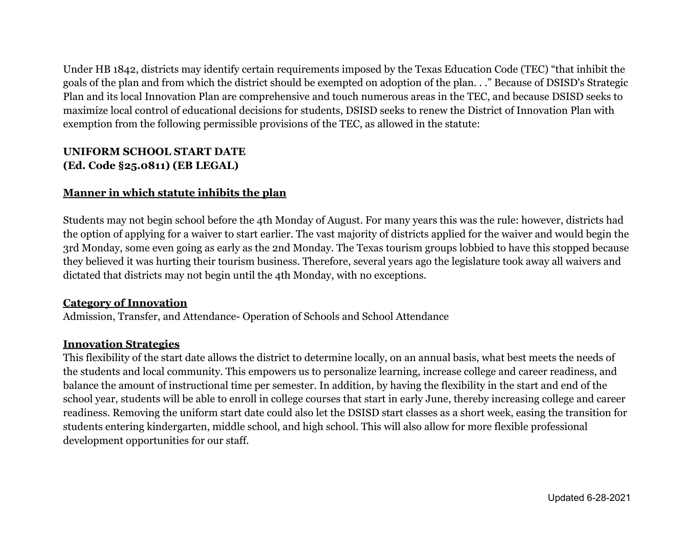Under HB 1842, districts may identify certain requirements imposed by the Texas Education Code (TEC) "that inhibit the goals of the plan and from which the district should be exempted on adoption of the plan. . ." Because of DSISD's Strategic Plan and its local Innovation Plan are comprehensive and touch numerous areas in the TEC, and because DSISD seeks to maximize local control of educational decisions for students, DSISD seeks to renew the District of Innovation Plan with exemption from the following permissible provisions of the TEC, as allowed in the statute:

# **UNIFORM SCHOOL START DATE (Ed. Code §25.0811) (EB LEGAL)**

## **Manner in which statute inhibits the plan**

Students may not begin school before the 4th Monday of August. For many years this was the rule: however, districts had the option of applying for a waiver to start earlier. The vast majority of districts applied for the waiver and would begin the 3rd Monday, some even going as early as the 2nd Monday. The Texas tourism groups lobbied to have this stopped because they believed it was hurting their tourism business. Therefore, several years ago the legislature took away all waivers and dictated that districts may not begin until the 4th Monday, with no exceptions.

## **Category of Innovation**

Admission, Transfer, and Attendance- Operation of Schools and School Attendance

# **Innovation Strategies**

This flexibility of the start date allows the district to determine locally, on an annual basis, what best meets the needs of the students and local community. This empowers us to personalize learning, increase college and career readiness, and balance the amount of instructional time per semester. In addition, by having the flexibility in the start and end of the school year, students will be able to enroll in college courses that start in early June, thereby increasing college and career readiness. Removing the uniform start date could also let the DSISD start classes as a short week, easing the transition for students entering kindergarten, middle school, and high school. This will also allow for more flexible professional development opportunities for our staff.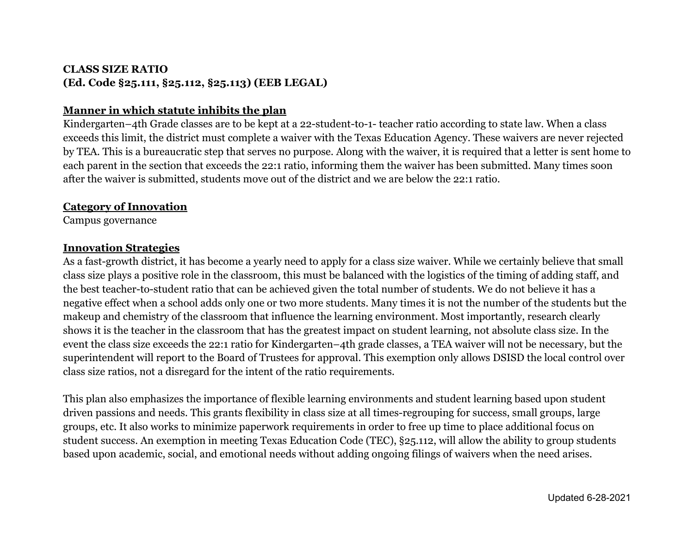# **CLASS SIZE RATIO (Ed. Code §25.111, §25.112, §25.113) (EEB LEGAL)**

## **Manner in which statute inhibits the plan**

Kindergarten–4th Grade classes are to be kept at a 22-student-to-1- teacher ratio according to state law. When a class exceeds this limit, the district must complete a waiver with the Texas Education Agency. These waivers are never rejected by TEA. This is a bureaucratic step that serves no purpose. Along with the waiver, it is required that a letter is sent home to each parent in the section that exceeds the 22:1 ratio, informing them the waiver has been submitted. Many times soon after the waiver is submitted, students move out of the district and we are below the 22:1 ratio.

#### **Category of Innovation**

Campus governance

#### **Innovation Strategies**

As a fast-growth district, it has become a yearly need to apply for a class size waiver. While we certainly believe that small class size plays a positive role in the classroom, this must be balanced with the logistics of the timing of adding staff, and the best teacher-to-student ratio that can be achieved given the total number of students. We do not believe it has a negative effect when a school adds only one or two more students. Many times it is not the number of the students but the makeup and chemistry of the classroom that influence the learning environment. Most importantly, research clearly shows it is the teacher in the classroom that has the greatest impact on student learning, not absolute class size. In the event the class size exceeds the 22:1 ratio for Kindergarten–4th grade classes, a TEA waiver will not be necessary, but the superintendent will report to the Board of Trustees for approval. This exemption only allows DSISD the local control over class size ratios, not a disregard for the intent of the ratio requirements.

This plan also emphasizes the importance of flexible learning environments and student learning based upon student driven passions and needs. This grants flexibility in class size at all times-regrouping for success, small groups, large groups, etc. It also works to minimize paperwork requirements in order to free up time to place additional focus on student success. An exemption in meeting Texas Education Code (TEC), §25.112, will allow the ability to group students based upon academic, social, and emotional needs without adding ongoing filings of waivers when the need arises.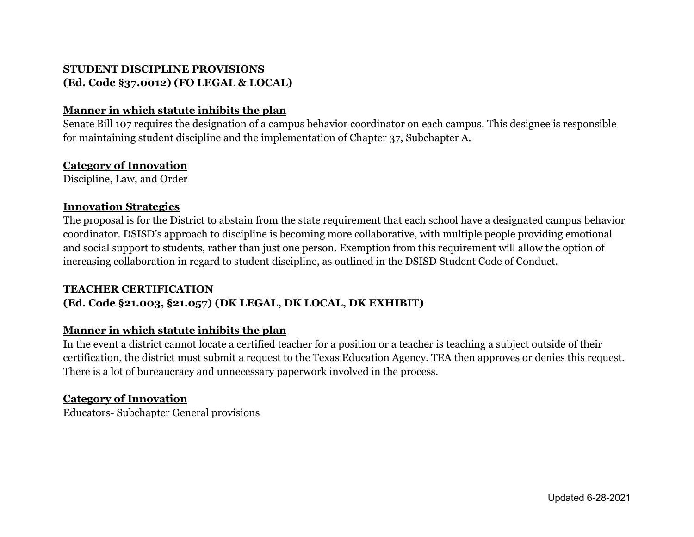# **STUDENT DISCIPLINE PROVISIONS (Ed. Code §37.0012) (FO LEGAL & LOCAL)**

## **Manner in which statute inhibits the plan**

Senate Bill 107 requires the designation of a campus behavior coordinator on each campus. This designee is responsible for maintaining student discipline and the implementation of Chapter 37, Subchapter A.

## **Category of Innovation**

Discipline, Law, and Order

#### **Innovation Strategies**

The proposal is for the District to abstain from the state requirement that each school have a designated campus behavior coordinator. DSISD's approach to discipline is becoming more collaborative, with multiple people providing emotional and social support to students, rather than just one person. Exemption from this requirement will allow the option of increasing collaboration in regard to student discipline, as outlined in the DSISD Student Code of Conduct.

# **TEACHER CERTIFICATION (Ed. Code §21.003, §21.057) (DK LEGAL, DK LOCAL, DK EXHIBIT)**

# **Manner in which statute inhibits the plan**

In the event a district cannot locate a certified teacher for a position or a teacher is teaching a subject outside of their certification, the district must submit a request to the Texas Education Agency. TEA then approves or denies this request. There is a lot of bureaucracy and unnecessary paperwork involved in the process.

## **Category of Innovation**

Educators- Subchapter General provisions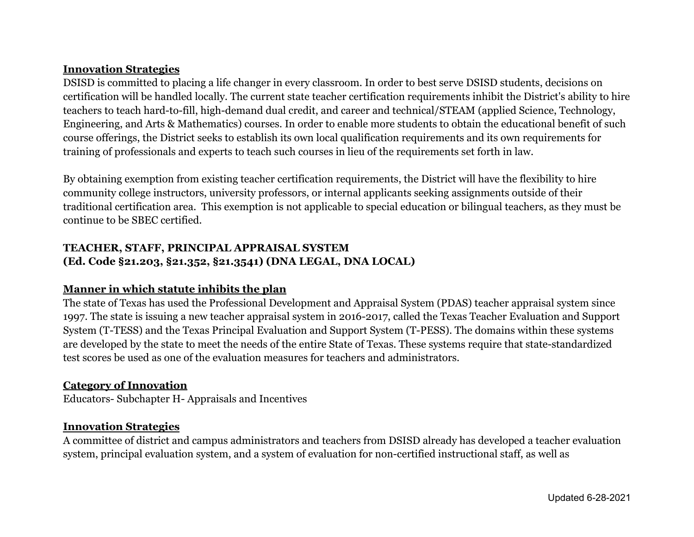#### **Innovation Strategies**

DSISD is committed to placing a life changer in every classroom. In order to best serve DSISD students, decisions on certification will be handled locally. The current state teacher certification requirements inhibit the District's ability to hire teachers to teach hard-to-fill, high-demand dual credit, and career and technical/STEAM (applied Science, Technology, Engineering, and Arts & Mathematics) courses. In order to enable more students to obtain the educational benefit of such course offerings, the District seeks to establish its own local qualification requirements and its own requirements for training of professionals and experts to teach such courses in lieu of the requirements set forth in law.

By obtaining exemption from existing teacher certification requirements, the District will have the flexibility to hire community college instructors, university professors, or internal applicants seeking assignments outside of their traditional certification area. This exemption is not applicable to special education or bilingual teachers, as they must be continue to be SBEC certified.

# **TEACHER, STAFF, PRINCIPAL APPRAISAL SYSTEM (Ed. Code §21.203, §21.352, §21.3541) (DNA LEGAL, DNA LOCAL)**

## **Manner in which statute inhibits the plan**

The state of Texas has used the Professional Development and Appraisal System (PDAS) teacher appraisal system since 1997. The state is issuing a new teacher appraisal system in 2016-2017, called the Texas Teacher Evaluation and Support System (T-TESS) and the Texas Principal Evaluation and Support System (T-PESS). The domains within these systems are developed by the state to meet the needs of the entire State of Texas. These systems require that state-standardized test scores be used as one of the evaluation measures for teachers and administrators.

#### **Category of Innovation**

Educators- Subchapter H- Appraisals and Incentives

## **Innovation Strategies**

A committee of district and campus administrators and teachers from DSISD already has developed a teacher evaluation system, principal evaluation system, and a system of evaluation for non-certified instructional staff, as well as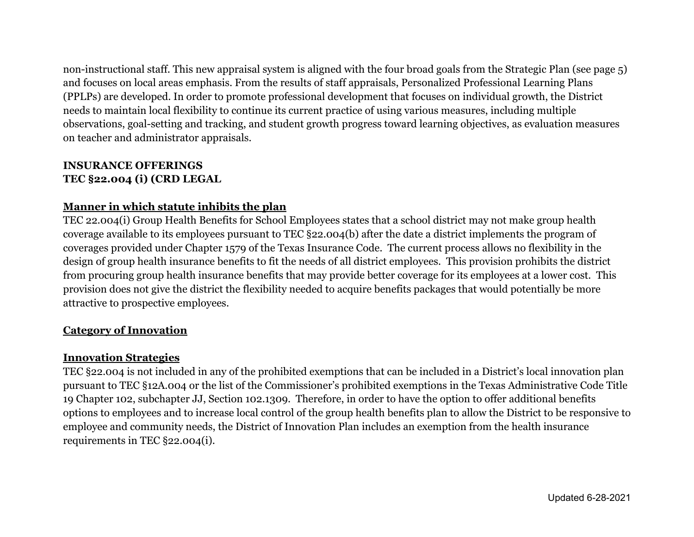non-instructional staff. This new appraisal system is aligned with the four broad goals from the Strategic Plan (see page 5) and focuses on local areas emphasis. From the results of staff appraisals, Personalized Professional Learning Plans (PPLPs) are developed. In order to promote professional development that focuses on individual growth, the District needs to maintain local flexibility to continue its current practice of using various measures, including multiple observations, goal-setting and tracking, and student growth progress toward learning objectives, as evaluation measures on teacher and administrator appraisals.

## **INSURANCE OFFERINGS TEC §22.004 (i) (CRD LEGAL**

# **Manner in which statute inhibits the plan**

TEC 22.004(i) Group Health Benefits for School Employees states that a school district may not make group health coverage available to its employees pursuant to TEC §22.004(b) after the date a district implements the program of coverages provided under Chapter 1579 of the Texas Insurance Code. The current process allows no flexibility in the design of group health insurance benefits to fit the needs of all district employees. This provision prohibits the district from procuring group health insurance benefits that may provide better coverage for its employees at a lower cost. This provision does not give the district the flexibility needed to acquire benefits packages that would potentially be more attractive to prospective employees.

## **Category of Innovation**

## **Innovation Strategies**

TEC §22.004 is not included in any of the prohibited exemptions that can be included in a District's local innovation plan pursuant to TEC §12A.004 or the list of the Commissioner's prohibited exemptions in the Texas Administrative Code Title 19 Chapter 102, subchapter JJ, Section 102.1309. Therefore, in order to have the option to offer additional benefits options to employees and to increase local control of the group health benefits plan to allow the District to be responsive to employee and community needs, the District of Innovation Plan includes an exemption from the health insurance requirements in TEC §22.004(i).